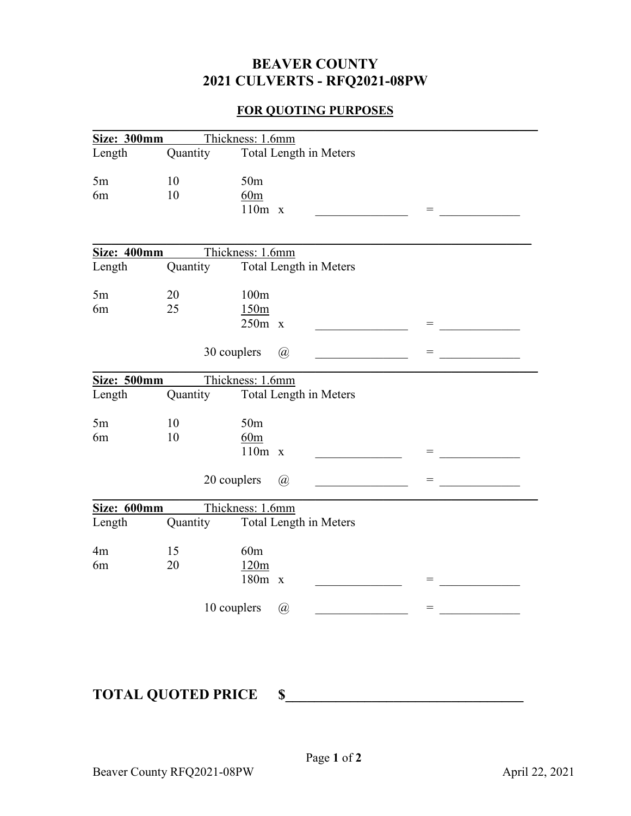## **BEAVER COUNTY 2021 CULVERTS - RFQ2021-08PW**

## **FOR QUOTING PURPOSES**

|                      |          | Size: 300mm Thickness: 1.6mm                                              |     |
|----------------------|----------|---------------------------------------------------------------------------|-----|
| Length               | Quantity | Total Length in Meters                                                    |     |
| $5\mathrm{m}$<br>6m  | 10<br>10 | 50 <sub>m</sub><br>60m<br>$110m \times$                                   | $=$ |
|                      |          | Size: 400mm Thickness: 1.6mm                                              |     |
| Length               | Quantity | Total Length in Meters                                                    |     |
| 5m<br>6m             | 20<br>25 | 100m<br>150m<br>$250m \times$                                             | $=$ |
|                      |          | 30 couplers<br>$\left(\overline{a}\right)$                                | $=$ |
| Size: 500mm          |          | Thickness: 1.6mm                                                          |     |
| Length               | Quantity | Total Length in Meters                                                    |     |
| 5m<br>6m             | 10<br>10 | 50 <sub>m</sub><br>60m<br>$110m \times$                                   | $=$ |
|                      |          | 20 couplers<br>$\left(\widehat{a}\right)$                                 |     |
| Size: 600mm          |          | Thickness: 1.6mm                                                          |     |
| Length               | Quantity | Total Length in Meters                                                    |     |
| 4 <sub>m</sub><br>6m | 15<br>20 | 60m<br>120m<br>$180m \times$<br>10 couplers<br>$\left(\widehat{a}\right)$ | $=$ |
|                      |          |                                                                           |     |

## **TOTAL QUOTED PRICE \$\_\_\_\_\_\_\_\_\_\_\_\_\_\_\_\_\_\_\_\_\_\_\_\_\_\_\_\_\_\_\_\_\_**